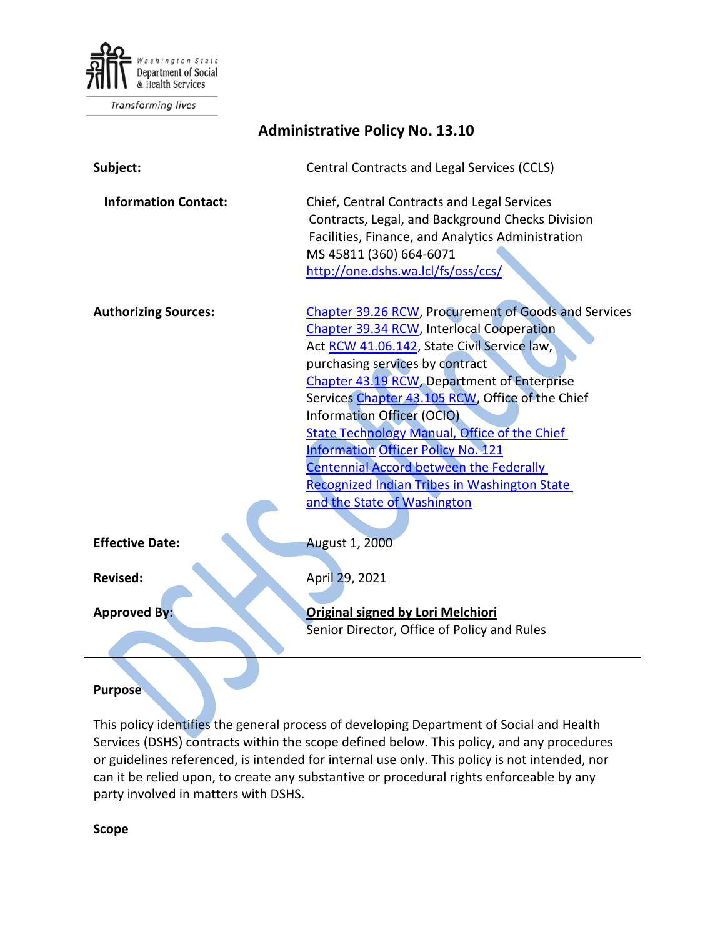

Transforming lives

| <b>Administrative Policy No. 13.10</b> |                                                                                                                                                                                                                                                                                                                                                                                                                                                                                                                                                                  |
|----------------------------------------|------------------------------------------------------------------------------------------------------------------------------------------------------------------------------------------------------------------------------------------------------------------------------------------------------------------------------------------------------------------------------------------------------------------------------------------------------------------------------------------------------------------------------------------------------------------|
| Subject:                               | Central Contracts and Legal Services (CCLS)                                                                                                                                                                                                                                                                                                                                                                                                                                                                                                                      |
| <b>Information Contact:</b>            | Chief, Central Contracts and Legal Services<br>Contracts, Legal, and Background Checks Division<br>Facilities, Finance, and Analytics Administration<br>MS 45811 (360) 664-6071<br>http://one.dshs.wa.lcl/fs/oss/ccs/                                                                                                                                                                                                                                                                                                                                            |
| <b>Authorizing Sources:</b>            | Chapter 39.26 RCW, Procurement of Goods and Services<br>Chapter 39.34 RCW, Interlocal Cooperation<br>Act RCW 41.06.142, State Civil Service law,<br>purchasing services by contract<br>Chapter 43.19 RCW, Department of Enterprise<br>Services Chapter 43.105 RCW, Office of the Chief<br><b>Information Officer (OCIO)</b><br><b>State Technology Manual, Office of the Chief</b><br><b>Information Officer Policy No. 121</b><br><b>Centennial Accord between the Federally</b><br>Recognized Indian Tribes in Washington State<br>and the State of Washington |
| <b>Effective Date:</b>                 | <b>August 1, 2000</b>                                                                                                                                                                                                                                                                                                                                                                                                                                                                                                                                            |
| <b>Revised:</b>                        | April 29, 2021                                                                                                                                                                                                                                                                                                                                                                                                                                                                                                                                                   |
| <b>Approved By:</b>                    | <b>Original signed by Lori Melchiori</b><br>Senior Director, Office of Policy and Rules                                                                                                                                                                                                                                                                                                                                                                                                                                                                          |
|                                        |                                                                                                                                                                                                                                                                                                                                                                                                                                                                                                                                                                  |

#### **Purpose**

This policy identifies the general process of developing Department of Social and Health Services (DSHS) contracts within the scope defined below. This policy, and any procedures or guidelines referenced, is intended for internal use only. This policy is not intended, nor can it be relied upon, to create any substantive or procedural rights enforceable by any party involved in matters with DSHS.

**Scope**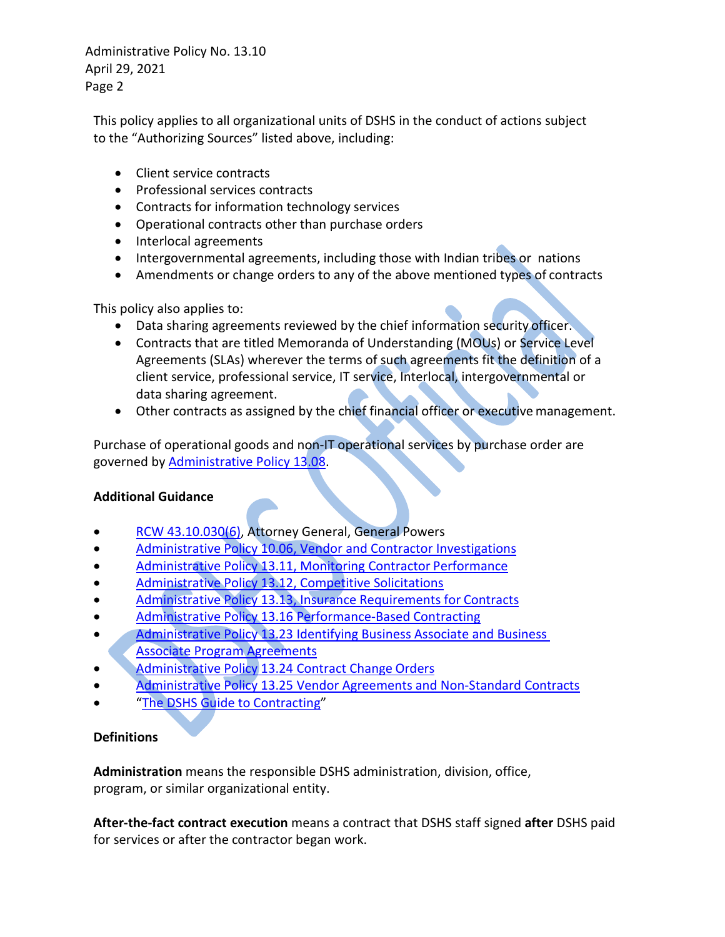This policy applies to all organizational units of DSHS in the conduct of actions subject to the "Authorizing Sources" listed above, including:

- Client service contracts
- Professional services contracts
- Contracts for information technology services
- Operational contracts other than purchase orders
- Interlocal agreements
- Intergovernmental agreements, including those with Indian tribes or nations
- Amendments or change orders to any of the above mentioned types of contracts

This policy also applies to:

- Data sharing agreements reviewed by the chief information security officer.
- Contracts that are titled Memoranda of Understanding (MOUs) or Service Level Agreements (SLAs) wherever the terms of such agreements fit the definition of a client service, professional service, IT service, Interlocal, intergovernmental or data sharing agreement.
- Other contracts as assigned by the chief financial officer or executive management.

Purchase of operational goods and non-IT operational services by purchase order are governed by [Administrative Policy 13.08.](http://one.dshs.wa.lcl/Policies/Administrative/DSHS-AP-13-08.pdf)

### <span id="page-1-0"></span>**Additional Guidance**

- [RCW 43.10.030\(6\),](http://apps.leg.wa.gov/RCW/default.aspx?cite=43.10.030) Attorney General, General Powers
- [Administrative Policy 10.06, Vendor and Contractor Investigations](http://one.dshs.wa.lcl/Policies/Administrative/DSHS-AP-10-06.pdf)
- [Administrative Policy 13.11, Monitoring Contractor](http://one.dshs.wa.lcl/Policies/Administrative/DSHS-AP-13-11.pdf) Performance
- [Administrative Policy 13.12, Competitive Solicitations](http://one.dshs.wa.lcl/Policies/Administrative/DSHS-AP-13-12.pdf)
- [Administrative Policy 13.13, Insurance Requirements for](http://one.dshs.wa.lcl/Policies/Administrative/DSHS-AP-13-13.pdf) Contracts
- [Administrative Policy 13.16 Performance-Based](http://one.dshs.wa.lcl/Policies/Administrative/DSHS-AP-13-16.pdf) Contracting
- Administrative Policy 13.23 Identifying Business Associate and Business [Associate](http://one.dshs.wa.lcl/Policies/Administrative/DSHS-AP-13-23.pdf) Program [Agreements](http://one.dshs.wa.lcl/Policies/Administrative/DSHS-AP-13-23.pdf)
- [Administrative Policy 13.24 Contract Change](http://one.dshs.wa.lcl/Policies/Administrative/DSHS-AP-13-24.pdf) Orders
- [Administrative Policy 13.25 Vendor Agreements and Non-Standard Contracts](http://one.dshs.wa.lcl/Policies/Administrative/DSHS-AP-13-25.pdf)
- ["The DSHS Guide to](http://one.dshs.wa.lcl/FS/OSS/CCS/Pages/Guide.aspx) Contracting"

### **Definitions**

**Administration** means the responsible DSHS administration, division, office, program, or similar organizational entity.

**After-the-fact contract execution** means a contract that DSHS staff signed **after** DSHS paid for services or after the contractor began work.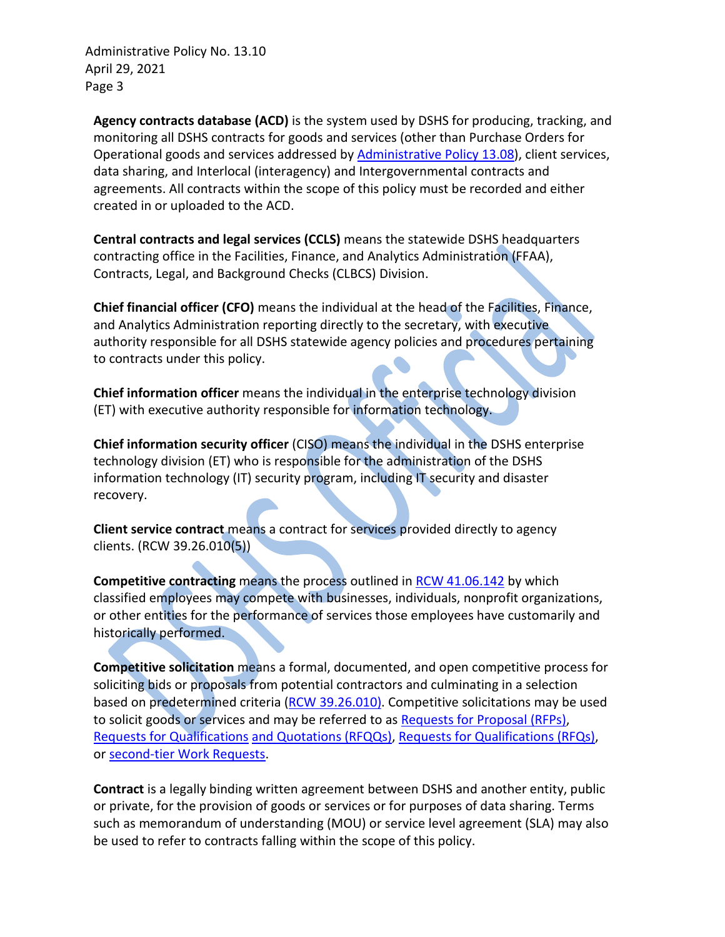**Agency contracts database (ACD)** is the system used by DSHS for producing, tracking, and monitoring all DSHS contracts for goods and services (other than Purchase Orders for Operational goods and services addressed b[y Administrative Policy 13.08\)](http://one.dshs.wa.lcl/Policies/Administrative/DSHS-AP-13-08.pdf), client services, data sharing, and Interlocal (interagency) and Intergovernmental contracts and agreements. All contracts within the scope of this policy must be recorded and either created in or uploaded to the ACD.

**Central contracts and legal services (CCLS)** means the statewide DSHS headquarters contracting office in the Facilities, Finance, and Analytics Administration (FFAA), Contracts, Legal, and Background Checks (CLBCS) Division.

**Chief financial officer (CFO)** means the individual at the head of the Facilities, Finance, and Analytics Administration reporting directly to the secretary, with executive authority responsible for all DSHS statewide agency policies and procedures pertaining to contracts under this policy.

**Chief information officer** means the individual in the enterprise technology division (ET) with executive authority responsible for information technology.

**Chief information security officer** (CISO) means the individual in the DSHS enterprise technology division (ET) who is responsible for the administration of the DSHS information technology (IT) security program, including IT security and disaster recovery.

**Client service contract** means a contract for services provided directly to agency clients. (RCW 39.26.010(5))

**Competitive contracting** means the process outlined in [RCW 41.06.142](http://app.leg.wa.gov/RCW/default.aspx?cite=41.06.142) by which classified employees may compete with businesses, individuals, nonprofit organizations, or other entities for the performance of services those employees have customarily and historically performed.

**Competitive solicitation** means a formal, documented, and open competitive process for soliciting bids or proposals from potential contractors and culminating in a selection based on predetermined criteria [\(RCW 39.26.010\).](http://apps.leg.wa.gov/rcw/default.aspx?cite=39.26.010) Competitive solicitations may be used to solicit goods or services and may be referred to as [Requests for Proposal \(RFPs\),](http://one.dshs.wa.lcl/FS/OSS/CCS/SiteAssets/Pages/Guide/Glossary--rev%206-15.doc) [Requests for Qualifications](http://one.dshs.wa.lcl/FS/OSS/CCS/SiteAssets/Pages/Guide/Glossary--rev%206-15.doc) [and Quotations \(RFQQs\), Requests for Qualifications \(RFQs\),](http://one.dshs.wa.lcl/FS/OSS/CCS/SiteAssets/Pages/Guide/Glossary--rev%206-15.doc) or [second-tier Work Requests.](http://one.dshs.wa.lcl/FS/OSS/CCS/SiteAssets/Pages/Guide/Glossary--rev%206-15.doc)

**Contract** is a legally binding written agreement between DSHS and another entity, public or private, for the provision of goods or services or for purposes of data sharing. Terms such as memorandum of understanding (MOU) or service level agreement (SLA) may also be used to refer to contracts falling within the scope of this policy.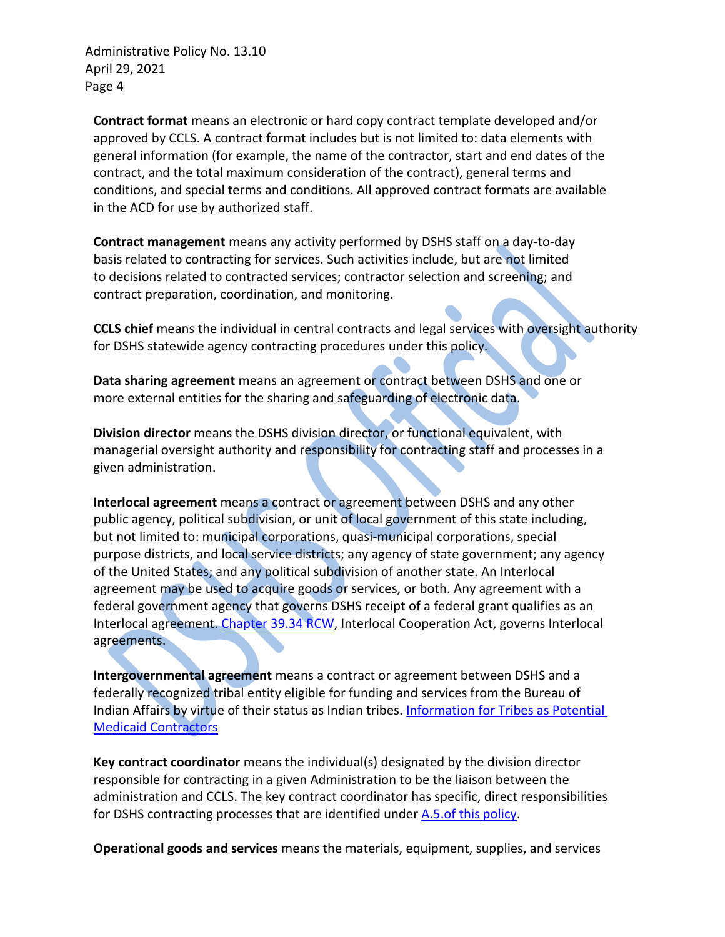**Contract format** means an electronic or hard copy contract template developed and/or approved by CCLS. A contract format includes but is not limited to: data elements with general information (for example, the name of the contractor, start and end dates of the contract, and the total maximum consideration of the contract), general terms and conditions, and special terms and conditions. All approved contract formats are available in the ACD for use by authorized staff.

**Contract management** means any activity performed by DSHS staff on a day-to-day basis related to contracting for services. Such activities include, but are not limited to decisions related to contracted services; contractor selection and screening; and contract preparation, coordination, and monitoring.

**CCLS chief** means the individual in central contracts and legal services with oversight authority for DSHS statewide agency contracting procedures under this policy.

**Data sharing agreement** means an agreement or contract between DSHS and one or more external entities for the sharing and safeguarding of electronic data.

**Division director** means the DSHS division director, or functional equivalent, with managerial oversight authority and responsibility for contracting staff and processes in a given administration.

**Interlocal agreement** means a contract or agreement between DSHS and any other public agency, political subdivision, or unit of local government of this state including, but not limited to: municipal corporations, quasi-municipal corporations, special purpose districts, and local service districts; any agency of state government; any agency of the United States; and any political subdivision of another state. An Interlocal agreement may be used to acquire goods or services, or both. Any agreement with a federal government agency that governs DSHS receipt of a federal grant qualifies as an Interlocal agreement. [Chapter 39.34 RCW,](http://app.leg.wa.gov/RCW/default.aspx?cite=39.34) Interlocal Cooperation Act, governs Interlocal agreements.

**Intergovernmental agreement** means a contract or agreement between DSHS and a federally recognized tribal entity eligible for funding and services from the Bureau of Indian Affairs by virtue of their status as Indian tribes. [Information for Tribes as Potential](https://www.dshs.wa.gov/sites/default/files/ALTSA/stakeholders/documents/tribalaffairs/Information%20for%20Tribes%20as%20Potential%20Medicaid%20Contractors.pdf)  [Medicaid Contractors](https://www.dshs.wa.gov/sites/default/files/ALTSA/stakeholders/documents/tribalaffairs/Information%20for%20Tribes%20as%20Potential%20Medicaid%20Contractors.pdf)

**Key contract coordinator** means the individual(s) designated by the division director responsible for contracting in a given Administration to be the liaison between the administration and CCLS. The key contract coordinator has specific, direct responsibilities for DSHS contracting processes that are identified under [A.5.of this](#page-6-0) policy.

**Operational goods and services** means the materials, equipment, supplies, and services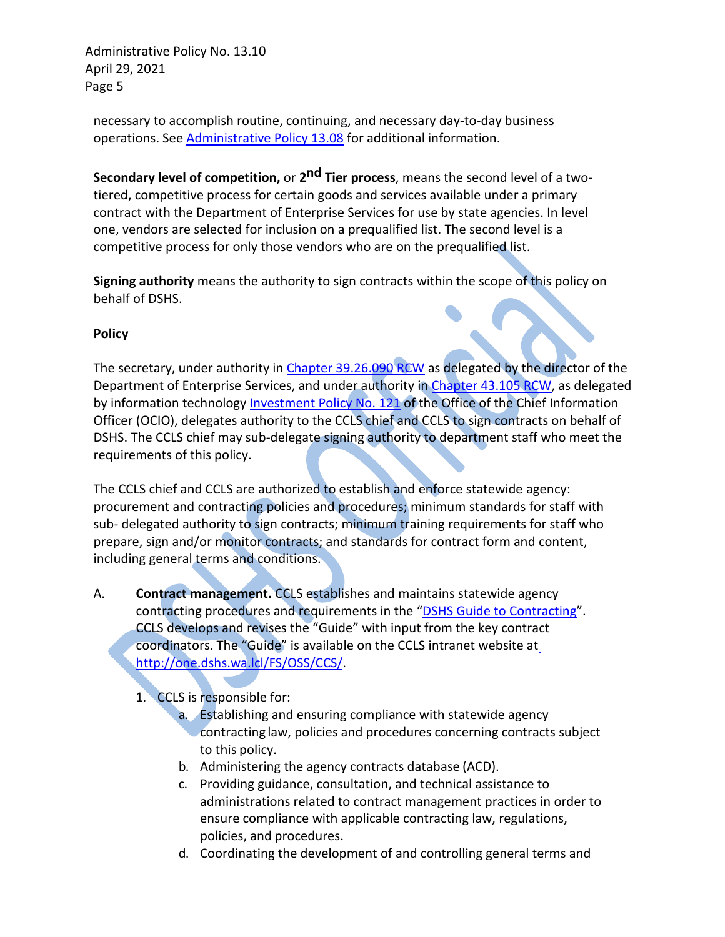necessary to accomplish routine, continuing, and necessary day-to-day business operations. See [Administrative Policy 13.08](http://one.dshs.wa.lcl/Policies/Administrative/DSHS-AP-13-08.pdf) for additional information.

**Secondary level of competition,** or **2nd Tier process**, means the second level of a twotiered, competitive process for certain goods and services available under a primary contract with the Department of Enterprise Services for use by state agencies. In level one, vendors are selected for inclusion on a prequalified list. The second level is a competitive process for only those vendors who are on the prequalified list.

**Signing authority** means the authority to sign contracts within the scope of this policy on behalf of DSHS.

#### **Policy**

The secretary, under authority in [Chapter 39.26.090 RCW](http://apps.leg.wa.gov/rcw/default.aspx?cite=39.26.090) as delegated by the director of the Department of Enterprise Services, and under authority in [Chapter 43.105 RCW,](https://apps.leg.wa.gov/rcw/default.aspx?Cite=43.105) as delegated by information technology [Investment Policy No. 121](https://ocio.wa.gov/policies/121-it-investments-approval-and-oversight/121-procedures) of the Office of the Chief Information Officer (OCIO), delegates authority to the CCLS chief and CCLS to sign contracts on behalf of DSHS. The CCLS chief may sub-delegate signing authority to department staff who meet the requirements of this policy.

The CCLS chief and CCLS are authorized to establish and enforce statewide agency: procurement and contracting policies and procedures; minimum standards for staff with sub- delegated authority to sign contracts; minimum training requirements for staff who prepare, sign and/or monitor contracts; and standards for contract form and content, including general terms and conditions.

A. **Contract management.** CCLS establishes and maintains statewide agency contracting procedures and requirements in the ["DSHS Guide to Contracting"](http://one.dshs.wa.lcl/FS/OSS/CCS/Pages/Guide.aspx). CCLS develops and revises the "Guide" with input from the key contract coordinators. The "Guide" is available on the CCLS intranet website a[t](http://one.dshs.wa.lcl/FS/OSS/CCS/) [http://one.dshs.wa.lcl/FS/OSS/CCS/.](http://one.dshs.wa.lcl/FS/OSS/CCS/)

1. CCLS is responsible for:

- a. Establishing and ensuring compliance with statewide agency contracting law, policies and procedures concerning contracts subject to this policy.
- b. Administering the agency contracts database (ACD).
- c. Providing guidance, consultation, and technical assistance to administrations related to contract management practices in order to ensure compliance with applicable contracting law, regulations, policies, and procedures.
- d. Coordinating the development of and controlling general terms and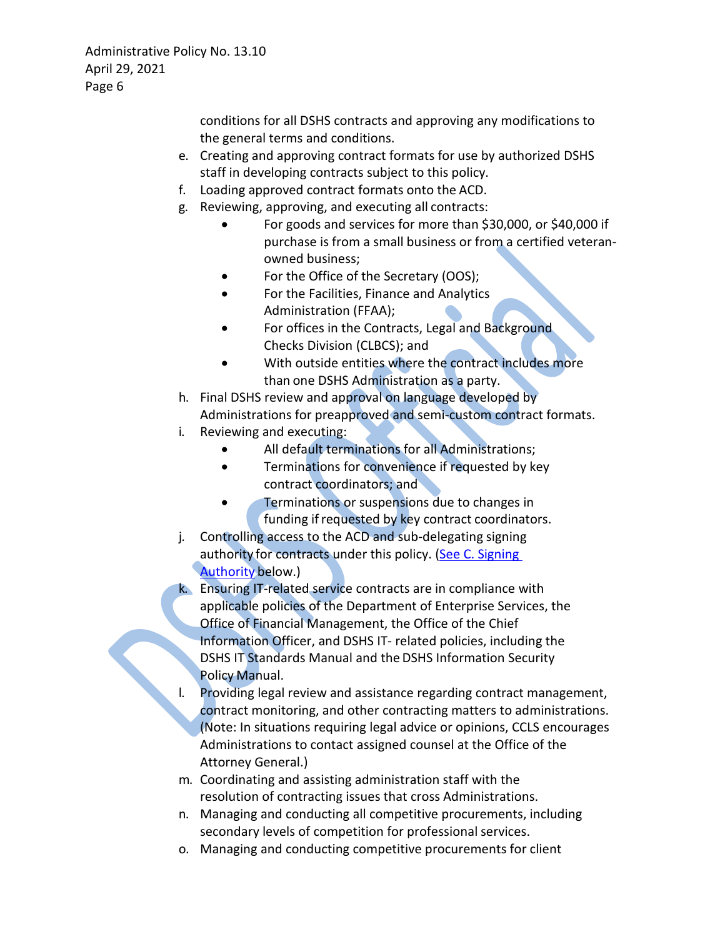conditions for all DSHS contracts and approving any modifications to the general terms and conditions.

- e. Creating and approving contract formats for use by authorized DSHS staff in developing contracts subject to this policy.
- f. Loading approved contract formats onto the ACD.
- g. Reviewing, approving, and executing all contracts:
	- For goods and services for more than \$30,000, or \$40,000 if purchase is from a small business or from a certified veteranowned business;
	- For the Office of the Secretary (OOS);
	- For the Facilities, Finance and Analytics Administration (FFAA);
	- For offices in the Contracts, Legal and Background Checks Division (CLBCS); and
	- With outside entities where the contract includes more than one DSHS Administration as a party.
- h. Final DSHS review and approval on language developed by Administrations for preapproved and semi-custom contract formats.
- i. Reviewing and executing:
	- All default terminations for all Administrations;
	- Terminations for convenience if requested by key contract coordinators; and
	- Terminations or suspensions due to changes in funding if requested by key contract coordinators.
- j. Controlling access to the ACD and sub-delegating signing authority for contracts under this policy. (See C. Signing [Authority](#page-8-0) below.)
- k. Ensuring IT-related service contracts are in compliance with applicable policies of the Department of Enterprise Services, the Office of Financial Management, the Office of the Chief Information Officer, and DSHS IT- related policies, including the DSHS IT Standards Manual and the DSHS Information Security Policy Manual.
- Providing legal review and assistance regarding contract management, contract monitoring, and other contracting matters to administrations. (Note: In situations requiring legal advice or opinions, CCLS encourages Administrations to contact assigned counsel at the Office of the Attorney General.)
- m. Coordinating and assisting administration staff with the resolution of contracting issues that cross Administrations.
- n. Managing and conducting all competitive procurements, including secondary levels of competition for professional services.
- o. Managing and conducting competitive procurements for client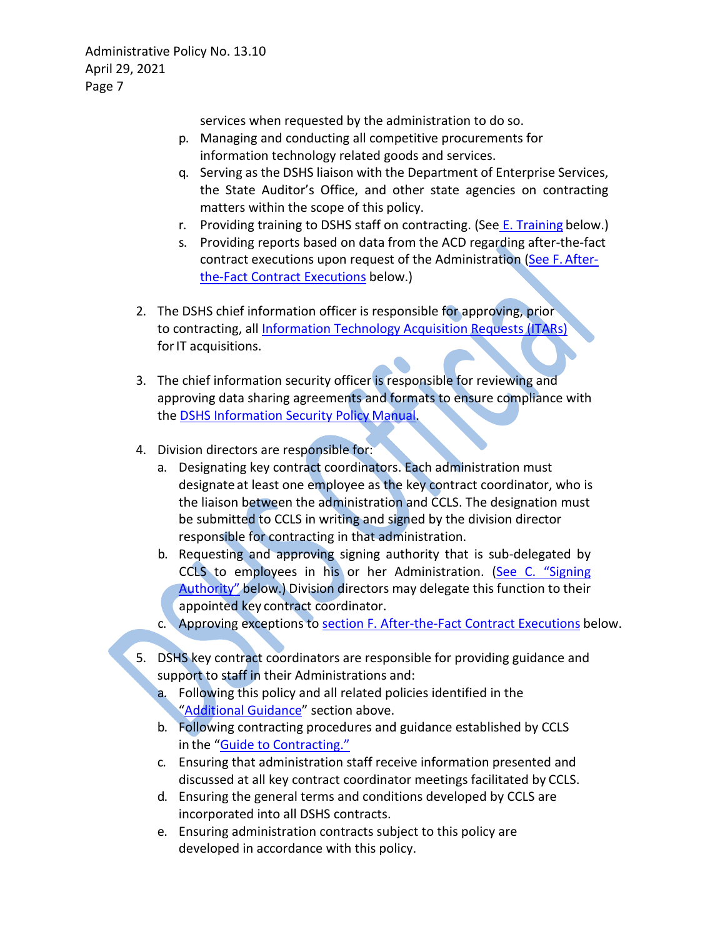services when requested by the administration to do so.

- p. Managing and conducting all competitive procurements for information technology related goods and services.
- q. Serving as the DSHS liaison with the Department of Enterprise Services, the State Auditor's Office, and other state agencies on contracting matters within the scope of this policy.
- r. Providing training to DSHS staff on contracting. (See [E. Training](#page-9-0) below.)
- s. Providing reports based on data from the ACD regarding after-the-fact contract executions upon request of the Administration [\(See F.](#page-10-0) After[the-Fact](#page-10-0) [Contract Executions](#page-10-0) below.)
- 2. The DSHS chief information officer is responsible for approving, prior to contracting, all [Information Technology Acquisition Requests \(ITARs\)](http://forms.dshs.wa.lcl/FormDetails.aspx?ID=3215) for IT acquisitions.
- 3. The chief information security officer is responsible for reviewing and approving data sharing agreements and formats to ensure compliance with the [DSHS](http://ishare.dshs.wa.lcl/Security/Manual/DSHS_IT_Sec_Pol.pdf) [Information Security Policy](http://ishare.dshs.wa.lcl/Security/Manual/DSHS_IT_Sec_Pol.pdf) Manual.
- 4. Division directors are responsible for:
	- a. Designating key contract coordinators. Each administration must designate at least one employee as the key contract coordinator, who is the liaison between the administration and CCLS. The designation must be submitted to CCLS in writing and signed by the division director responsible for contracting in that administration.
	- b. Requesting and approving signing authority that is sub-delegated by CCLS to employees in his or her Administration. (See C. "Signing [Authority"](#page-8-0) below.) Division directors may delegate this function to their appointed key contract coordinator.
	- c. Approving exceptions to [section F. After-the-Fact Contract Executions](#page-10-0) below.
- <span id="page-6-0"></span>5. DSHS key contract coordinators are responsible for providing guidance and support to staff in their Administrations and:
	- a. Following this policy and all related policies identified in the ["Additional](#page-1-0) [Guidance"](#page-1-0) section above.
	- b. Following contracting procedures and guidance established by CCLS in the ["Guide to Contracting.](http://one.dshs.wa.lcl/FS/OSS/CCS/Pages/Guide.aspx)"
	- c. Ensuring that administration staff receive information presented and discussed at all key contract coordinator meetings facilitated by CCLS.
	- d. Ensuring the general terms and conditions developed by CCLS are incorporated into all DSHS contracts.
	- e. Ensuring administration contracts subject to this policy are developed in accordance with this policy.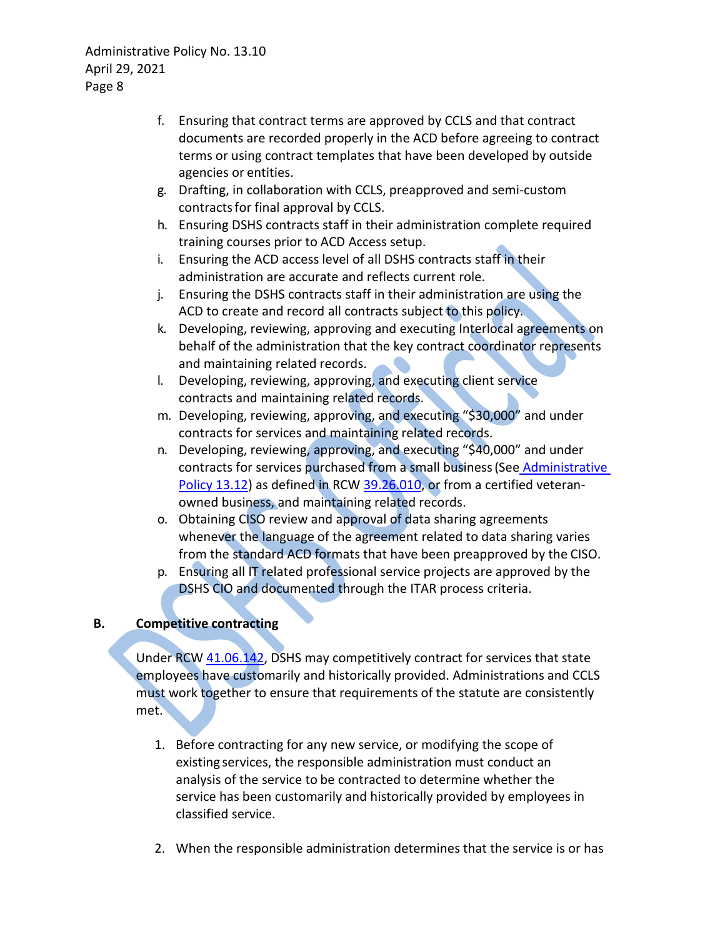- f. Ensuring that contract terms are approved by CCLS and that contract documents are recorded properly in the ACD before agreeing to contract terms or using contract templates that have been developed by outside agencies or entities.
- g. Drafting, in collaboration with CCLS, preapproved and semi-custom contractsfor final approval by CCLS.
- h. Ensuring DSHS contracts staff in their administration complete required training courses prior to ACD Access setup.
- i. Ensuring the ACD access level of all DSHS contracts staff in their administration are accurate and reflects current role.
- j. Ensuring the DSHS contracts staff in their administration are using the ACD to create and record all contracts subject to this policy.
- k. Developing, reviewing, approving and executing Interlocal agreements on behalf of the administration that the key contract coordinator represents and maintaining related records.
- l. Developing, reviewing, approving, and executing client service contracts and maintaining related records.
- m. Developing, reviewing, approving, and executing "\$30,000" and under contracts for services and maintaining related records.
- n. Developing, reviewing, approving, and executing "\$40,000" and under contracts for services purchased from a small business (See Administrative [Policy 13.12\)](http://one.dshs.wa.lcl/Policies/Administrative/DSHS-AP-13-12.pdf) as defined in RCW [39.26.010,](http://apps.leg.wa.gov/rcw/default.aspx?cite=39.26.010) or from a certified veteranowned business, and maintaining related records.
- o. Obtaining CISO review and approval of data sharing agreements whenever the language of the agreement related to data sharing varies from the standard ACD formats that have been preapproved by the CISO.
- p. Ensuring all IT related professional service projects are approved by the DSHS CIO and documented through the ITAR process criteria.

# **B. Competitive contracting**

Under RCW [41.06.142,](http://apps.leg.wa.gov/RCW/default.aspx?cite=41.06.142) DSHS may competitively contract for services that state employees have customarily and historically provided. Administrations and CCLS must work together to ensure that requirements of the statute are consistently met.

- 1. Before contracting for any new service, or modifying the scope of existing services, the responsible administration must conduct an analysis of the service to be contracted to determine whether the service has been customarily and historically provided by employees in classified service.
- 2. When the responsible administration determines that the service is or has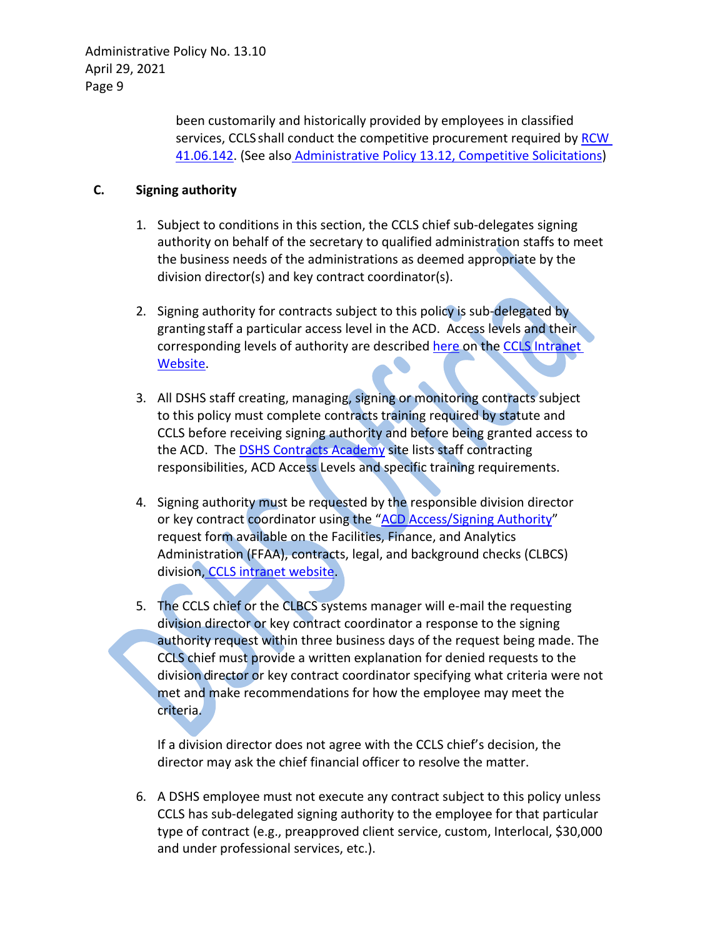> been customarily and historically provided by employees in classified services, CCLS shall conduct the competitive procurement required by RCW [41.06.142.](https://app.leg.wa.gov/RCW/default.aspx?cite=41.06.142) (See also [Administrative Policy 13.12, Competitive Solicitations\)](http://one.dshs.wa.lcl/Policies/Administrative/DSHS-AP-13-12.pdf)

#### <span id="page-8-0"></span>**C. Signing authority**

- 1. Subject to conditions in this section, the CCLS chief sub-delegates signing authority on behalf of the secretary to qualified administration staffs to meet the business needs of the administrations as deemed appropriate by the division director(s) and key contract coordinator(s).
- 2. Signing authority for contracts subject to this policy is sub-delegated by granting staff a particular access level in the ACD. Access levels and their corresponding levels of authority are described [here](http://one.dshs.wa.lcl/FS/OSS/CCS/ACD/Pages/Access.aspx) on the [CCLS Intranet](http://one.dshs.wa.lcl/fs/oss/ccs/) [Website.](http://one.dshs.wa.lcl/fs/oss/ccs/)
- 3. All DSHS staff creating, managing, signing or monitoring contracts subject to this policy must complete contracts training required by statute and CCLS before receiving signing authority and before being granted access to the ACD. The [DSHS Contracts Academy](http://one.dshs.wa.lcl/FS/OSS/CCS/Academy/Pages/default.aspx) site lists staff contracting responsibilities, ACD Access Levels and specific training requirements.
- 4. Signing authority must be requested by the responsible division director or key contract coordinator using the ["ACD Access/Signing Authority"](http://one.dshs.wa.lcl/FS/OSS/CCS/Forms/ACDAccessForm_6-1-2016.docx) request form available on the Facilities, Finance, and Analytics Administration (FFAA), contracts, legal, and background checks (CLBCS) division, [CCLS intranet website.](http://one.dshs.wa.lcl/fs/oss/ccs/)
- 5. The CCLS chief or the CLBCS systems manager will e-mail the requesting division director or key contract coordinator a response to the signing authority request within three business days of the request being made. The CCLS chief must provide a written explanation for denied requests to the division director or key contract coordinator specifying what criteria were not met and make recommendations for how the employee may meet the criteria.

If a division director does not agree with the CCLS chief's decision, the director may ask the chief financial officer to resolve the matter.

6. A DSHS employee must not execute any contract subject to this policy unless CCLS has sub-delegated signing authority to the employee for that particular type of contract (e.g., preapproved client service, custom, Interlocal, \$30,000 and under professional services, etc.).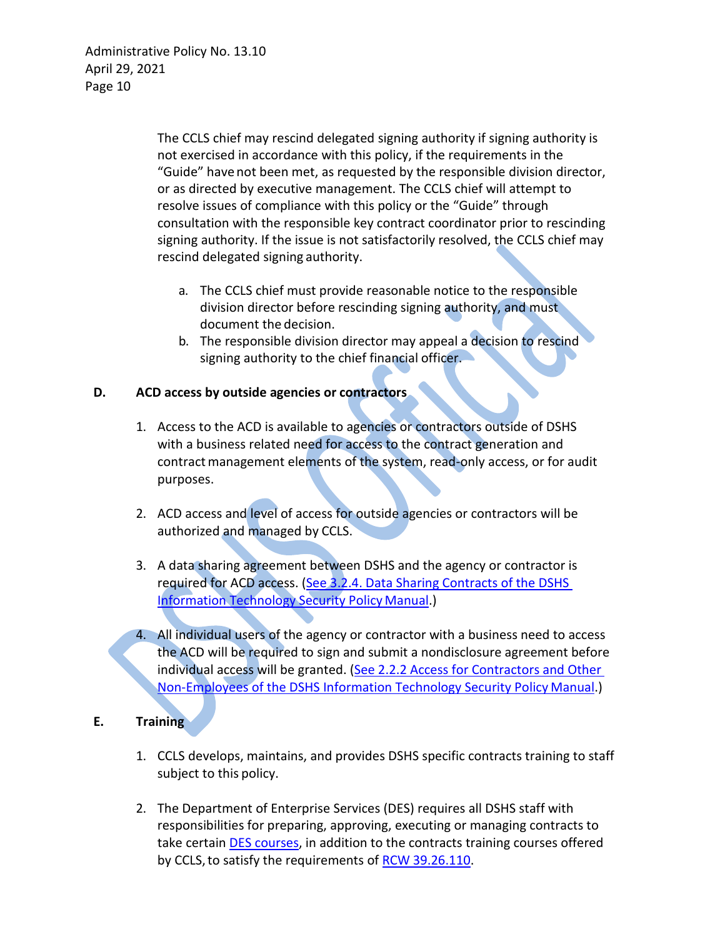The CCLS chief may rescind delegated signing authority if signing authority is not exercised in accordance with this policy, if the requirements in the "Guide" have not been met, as requested by the responsible division director, or as directed by executive management. The CCLS chief will attempt to resolve issues of compliance with this policy or the "Guide" through consultation with the responsible key contract coordinator prior to rescinding signing authority. If the issue is not satisfactorily resolved, the CCLS chief may rescind delegated signing authority.

- a. The CCLS chief must provide reasonable notice to the responsible division director before rescinding signing authority, and must document the decision.
- b. The responsible division director may appeal a decision to rescind signing authority to the chief financial officer.

#### **D. ACD access by outside agencies or contractors**

- 1. Access to the ACD is available to agencies or contractors outside of DSHS with a business related need for access to the contract generation and contract management elements of the system, read-only access, or for audit purposes.
- 2. ACD access and level of access for outside agencies or contractors will be authorized and managed by CCLS.
- 3. A data sharing agreement between DSHS and the agency or contractor is required for ACD access. (See 3.2.4. Data Sharing Contracts of the DSHS [Information](http://ishare.dshs.wa.lcl/Security/Manual/DSHS_IT_Sec_Pol.pdf) [Technology Security Policy](http://ishare.dshs.wa.lcl/Security/Manual/DSHS_IT_Sec_Pol.pdf) Manual.)
- 4. All individual users of the agency or contractor with a business need to access the ACD will be required to sign and submit a nondisclosure agreement before individual access will be granted. (See 2.2.2 Access for Contractors and Other [Non-Employees](http://ishare.dshs.wa.lcl/Security/Manual/DSHS_IT_Sec_Pol.pdf) [of the DSHS Information Technology Security Policy](http://ishare.dshs.wa.lcl/Security/Manual/DSHS_IT_Sec_Pol.pdf) Manual.)

### <span id="page-9-0"></span>**E. Training**

- 1. CCLS develops, maintains, and provides DSHS specific contracts training to staff subject to this policy.
- 2. The Department of Enterprise Services (DES) requires all DSHS staff with responsibilities for preparing, approving, executing or managing contracts to take certain [DES courses,](http://des.wa.gov/about/pi/ProcurementReform/Pages/PRTraining.aspx) in addition to the contracts training courses offered by CCLS, to satisfy the requirements of RCW [39.26.110.](http://app.leg.wa.gov/RCW/default.aspx?cite=39.26.110)